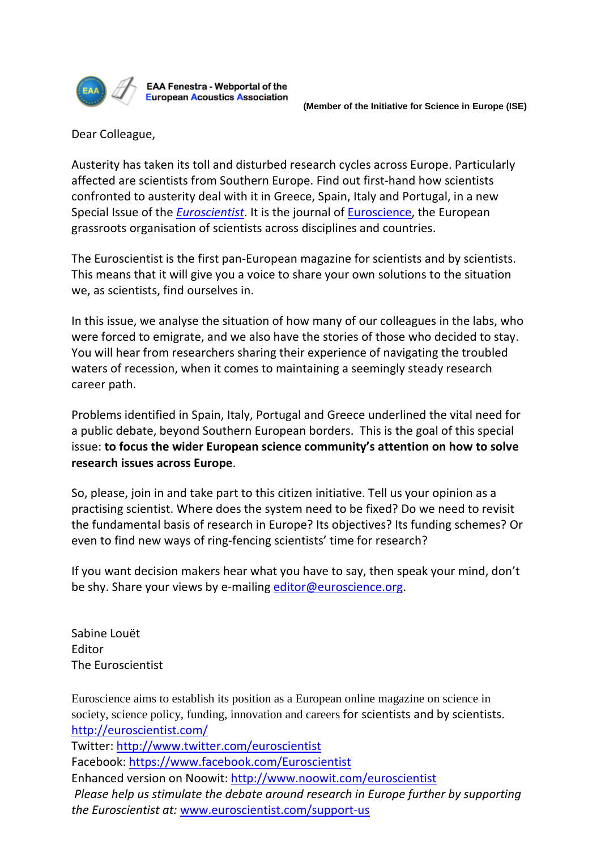

EAA Fenestra - Webportal of the **European Acoustics Association** 

Dear Colleague,

Austerity has taken its toll and disturbed research cycles across Europe. Particularly affected are scientists from Southern Europe. Find out first-hand how scientists confronted to austerity deal with it in Greece, Spain, Italy and Portugal, in a new Special Issue of the *[Euroscientist](http://euroscientist.com/)*. It is the journal of [Euroscience,](http://www.euroscience.org/) the European grassroots organisation of scientists across disciplines and countries.

The Euroscientist is the first pan-European magazine for scientists and by scientists. This means that it will give you a voice to share your own solutions to the situation we, as scientists, find ourselves in.

In this issue, we analyse the situation of how many of our colleagues in the labs, who were forced to emigrate, and we also have the stories of those who decided to stay. You will hear from researchers sharing their experience of navigating the troubled waters of recession, when it comes to maintaining a seemingly steady research career path.

Problems identified in Spain, Italy, Portugal and Greece underlined the vital need for a public debate, beyond Southern European borders. This is the goal of this special issue: **to focus the wider European science community's attention on how to solve research issues across Europe**.

So, please, join in and take part to this citizen initiative. Tell us your opinion as a practising scientist. Where does the system need to be fixed? Do we need to revisit the fundamental basis of research in Europe? Its objectives? Its funding schemes? Or even to find new ways of ring-fencing scientists' time for research?

If you want decision makers hear what you have to say, then speak your mind, don't be shy. Share your views by e-mailing [editor@euroscience.org.](mailto:editor@euroscience.org)

Sabine Louët Editor The Euroscientist

Euroscience aims to establish its position as a European online magazine on science in society, science policy, funding, innovation and careers for scientists and by scientists. <http://euroscientist.com/> Twitter:<http://www.twitter.com/euroscientist> Facebook:<https://www.facebook.com/Euroscientist> Enhanced version on Noowit:<http://www.noowit.com/euroscientist> *Please help us stimulate the debate around research in Europe further by supporting the Euroscientist at:* [www.euroscientist.com/support-us](http://www.euroscientist.com/support-us)